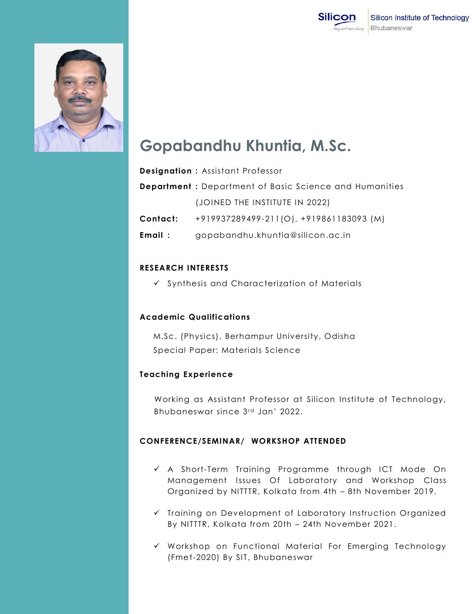



# **Gopabandhu Khuntia, M.Sc.**

|          | <b>Designation: Assistant Professor</b>                        |
|----------|----------------------------------------------------------------|
|          | <b>Department</b> : Department of Basic Science and Humanities |
|          | (JOINED THE INSTITUTE IN 2022)                                 |
| Contact: | +919937289499-211(O), +919861183093 (M)                        |
| Email:   | gopabandhu.khuntia@silicon.ac.in                               |

## **RESEARCH INTERESTS**

 $\checkmark$  Synthesis and Characterization of Materials

## **Academic Qualifications**

M.Sc. (Physics), Berhampur University, Odisha Special Paper: Materials Science

## **Teaching Experience**

Working as Assistant Professor at Silicon Institute of Technology, Bhubaneswar since 3rd Jan' 2022.

## **CONFERENCE/SEMINAR/ WORKSHOP ATTENDED**

- A Short-Term Training Programme through ICT Mode On Management Issues Of Laboratory and Workshop Class Organized by NITTTR, Kolkata from 4th – 8th November 2019.
- $\checkmark$  Training on Development of Laboratory Instruction Organized By NITTTR, Kolkata from 20th – 24th November 2021.
- Workshop on Functional Material For Emerging Technology (Fmet-2020) By SIT, Bhubaneswar